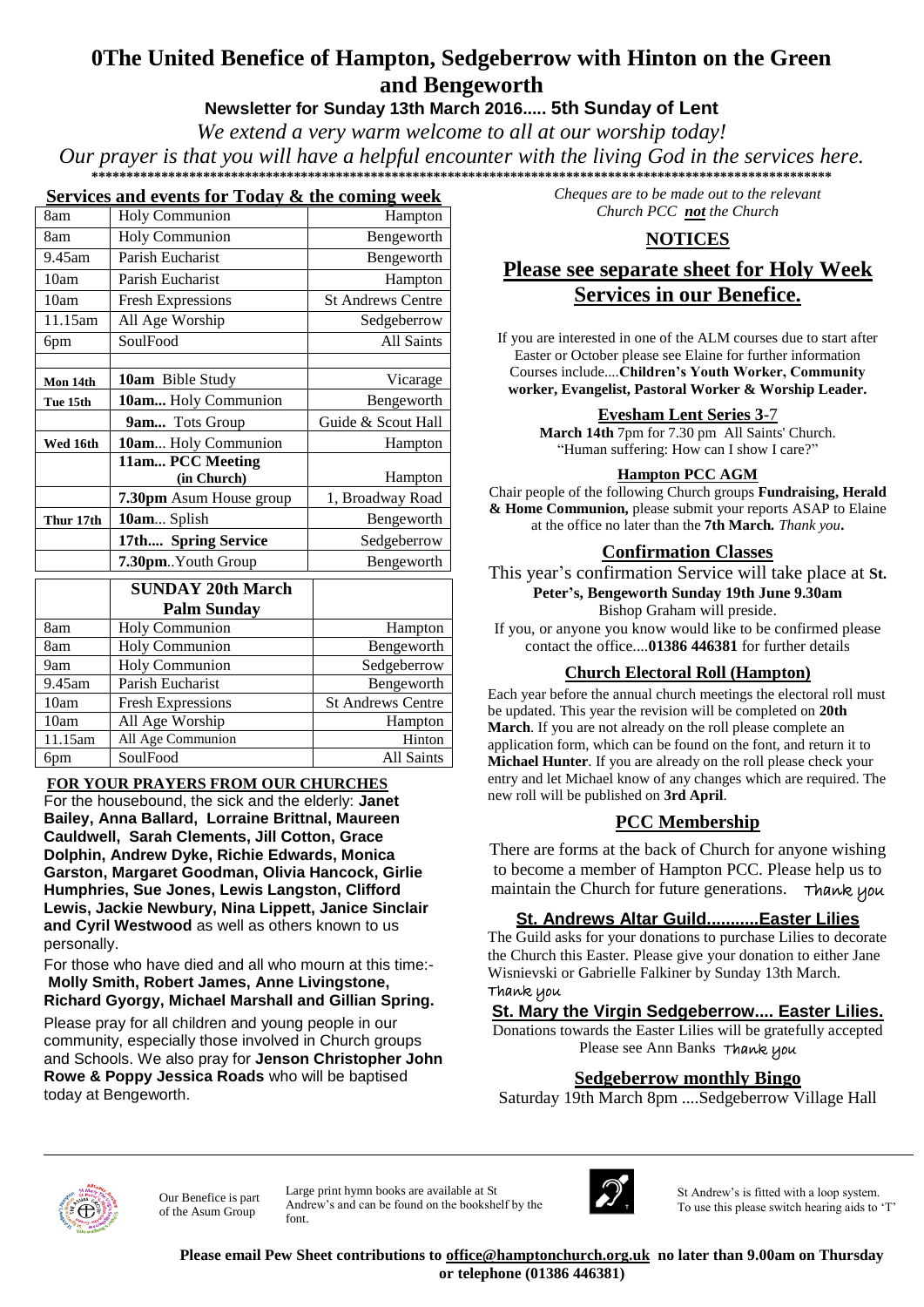# **0The United Benefice of Hampton, Sedgeberrow with Hinton on the Green and Bengeworth**

# **Newsletter for Sunday 13th March 2016..... 5th Sunday of Lent**

*We extend a very warm welcome to all at our worship today!*

*Our prayer is that you will have a helpful encounter with the living God in the services here.* **1** 

#### **Services and events for Today & the coming week**

| 8am       | <b>Holy Communion</b>    | Hampton                  |
|-----------|--------------------------|--------------------------|
| 8am       | <b>Holy Communion</b>    | Bengeworth               |
| 9.45am    | Parish Eucharist         | Bengeworth               |
| 10am      | Parish Eucharist         | Hampton                  |
| 10am      | <b>Fresh Expressions</b> | <b>St Andrews Centre</b> |
| 11.15am   | All Age Worship          | Sedgeberrow              |
| 6pm       | SoulFood                 | All Saints               |
|           |                          |                          |
| Mon 14th  | <b>10am</b> Bible Study  | Vicarage                 |
| Tue 15th  | 10am Holy Communion      | Bengeworth               |
|           | <b>9am</b> Tots Group    | Guide & Scout Hall       |
| Wed 16th  | 10am Holy Communion      | Hampton                  |
|           | 11am PCC Meeting         |                          |
|           | (in Church)              | Hampton                  |
|           | 7.30pm Asum House group  | 1, Broadway Road         |
| Thur 17th | 10am Splish              | Bengeworth               |
|           | 17th Spring Service      | Sedgeberrow              |
|           | 7.30pmYouth Group        | Bengeworth               |
|           |                          |                          |

|         | <b>SUNDAY 20th March</b> |                          |
|---------|--------------------------|--------------------------|
|         | <b>Palm Sunday</b>       |                          |
| 8am     | Holy Communion           | Hampton                  |
| 8am     | <b>Holy Communion</b>    | Bengeworth               |
| 9am     | <b>Holy Communion</b>    | Sedgeberrow              |
| 9.45am  | Parish Eucharist         | Bengeworth               |
| 10am    | <b>Fresh Expressions</b> | <b>St Andrews Centre</b> |
| 10am    | All Age Worship          | Hampton                  |
| 11.15am | All Age Communion        | Hinton                   |
| 6pm     | SoulFood                 | All Saints               |

#### **FOR YOUR PRAYERS FROM OUR CHURCHES**

For the housebound, the sick and the elderly: **Janet Bailey, Anna Ballard, Lorraine Brittnal, Maureen Cauldwell, Sarah Clements, Jill Cotton, Grace Dolphin, Andrew Dyke, Richie Edwards, Monica Garston, Margaret Goodman, Olivia Hancock, Girlie Humphries, Sue Jones, Lewis Langston, Clifford Lewis, Jackie Newbury, Nina Lippett, Janice Sinclair and Cyril Westwood** as well as others known to us personally.

For those who have died and all who mourn at this time:- **Molly Smith, Robert James, Anne Livingstone, Richard Gyorgy, Michael Marshall and Gillian Spring.**

Please pray for all children and young people in our community, especially those involved in Church groups and Schools. We also pray for **Jenson Christopher John Rowe & Poppy Jessica Roads** who will be baptised today at Bengeworth.

*Cheques are to be made out to the relevant Church PCC not the Church*

## **NOTICES**

# **Please see separate sheet for Holy Week Services in our Benefice.**

If you are interested in one of the ALM courses due to start after Easter or October please see Elaine for further information Courses include....**Children's Youth Worker, Community worker, Evangelist, Pastoral Worker & Worship Leader.**

#### **Evesham Lent Series 3**-7

**March 14th** 7pm for 7.30 pm All Saints' Church. "Human suffering: How can I show I care?"

#### **Hampton PCC AGM**

Chair people of the following Church groups **Fundraising, Herald & Home Communion,** please submit your reports ASAP to Elaine at the office no later than the **7th March***. Thank you***.** 

#### **Confirmation Classes**

This year's confirmation Service will take place at **St. Peter's, Bengeworth Sunday 19th June 9.30am** Bishop Graham will preside.

If you, or anyone you know would like to be confirmed please contact the office....**01386 446381** for further details

#### **Church Electoral Roll (Hampton)**

Each year before the annual church meetings the electoral roll must be updated. This year the revision will be completed on **20th March**. If you are not already on the roll please complete an application form, which can be found on the font, and return it to **Michael Hunter**. If you are already on the roll please check your entry and let Michael know of any changes which are required. The new roll will be published on **3rd April**.

## **PCC Membership**

There are forms at the back of Church for anyone wishing to become a member of Hampton PCC. Please help us to maintain the Church for future generations. Thank you

## **St. Andrews Altar Guild...........Easter Lilies**

The Guild asks for your donations to purchase Lilies to decorate the Church this Easter. Please give your donation to either Jane Wisnievski or Gabrielle Falkiner by Sunday 13th March. Thank you

## **St. Mary the Virgin Sedgeberrow.... Easter Lilies.**

Donations towards the Easter Lilies will be gratefully accepted Please see Ann Banks Thank you

## **Sedgeberrow monthly Bingo**

Saturday 19th March 8pm ....Sedgeberrow Village Hall



Our Benefice is part of the Asum Group

Large print hymn books are available at St Andrew's and can be found on the bookshelf by the font.



St Andrew's is fitted with a loop system. To use this please switch hearing aids to 'T'

**Please email Pew Sheet contributions to office@hamptonchurch.org.uk no later than 9.00am on Thursday or telephone (01386 446381)**